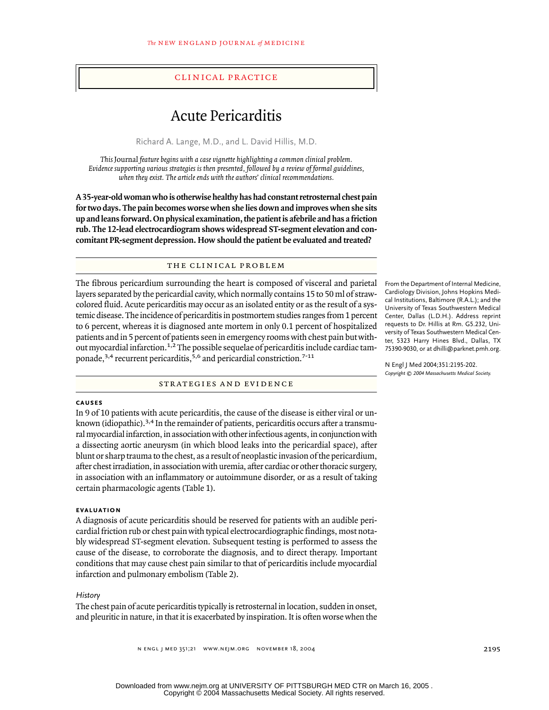## clinical practice

# Acute Pericarditis

Richard A. Lange, M.D., and L. David Hillis, M.D.

*This* Journal *feature begins with a case vignette highlighting a common clinical problem. Evidence supporting various strategies is then presented, followed by a review of formal guidelines, when they exist. The article ends with the authors' clinical recommendations.*

**A 35-year-old woman who is otherwise healthy has had constant retrosternal chest pain for two days. The pain becomes worse when she lies down and improves when she sits up and leans forward. On physical examination, the patient is afebrile and has a friction rub. The 12-lead electrocardiogram shows widespread ST-segment elevation and concomitant PR-segment depression. How should the patient be evaluated and treated?**

# the clinical problem

The fibrous pericardium surrounding the heart is composed of visceral and parietal layers separated by the pericardial cavity, which normally contains 15 to 50 ml of strawcolored fluid. Acute pericarditis may occur as an isolated entity or as the result of a systemic disease. The incidence of pericarditis in postmortem studies ranges from 1 percent to 6 percent, whereas it is diagnosed ante mortem in only 0.1 percent of hospitalized patients and in 5 percent of patients seen in emergency rooms with chest pain but without myocardial infarction.<sup>1,2</sup> The possible sequelae of pericarditis include cardiac tamponade,<sup>3,4</sup> recurrent pericarditis,<sup>5,6</sup> and pericardial constriction.<sup>7-11</sup>

strategies and evidence

From the Department of Internal Medicine, Cardiology Division, Johns Hopkins Medical Institutions, Baltimore (R.A.L.); and the University of Texas Southwestern Medical Center, Dallas (L.D.H.). Address reprint requests to Dr. Hillis at Rm. G5.232, University of Texas Southwestern Medical Center, 5323 Harry Hines Blvd., Dallas, TX 75390-9030, or at dhilli@parknet.pmh.org.

N Engl J Med 2004;351:2195-202. *Copyright © 2004 Massachusetts Medical Society.*

#### **causes**

In 9 of 10 patients with acute pericarditis, the cause of the disease is either viral or unknown (idiopathic).<sup>3,4</sup> In the remainder of patients, pericarditis occurs after a transmural myocardial infarction, in association with other infectious agents, in conjunction with a dissecting aortic aneurysm (in which blood leaks into the pericardial space), after blunt or sharp trauma to the chest, as a result of neoplastic invasion of the pericardium, after chest irradiation, in association with uremia, after cardiac or other thoracic surgery, in association with an inflammatory or autoimmune disorder, or as a result of taking certain pharmacologic agents (Table 1).

#### **evaluation**

A diagnosis of acute pericarditis should be reserved for patients with an audible pericardial friction rub or chest pain with typical electrocardiographic findings, most notably widespread ST-segment elevation. Subsequent testing is performed to assess the cause of the disease, to corroborate the diagnosis, and to direct therapy. Important conditions that may cause chest pain similar to that of pericarditis include myocardial infarction and pulmonary embolism (Table 2).

#### *History*

The chest pain of acute pericarditis typically is retrosternal in location, sudden in onset, and pleuritic in nature, in that it is exacerbated by inspiration. It is often worse when the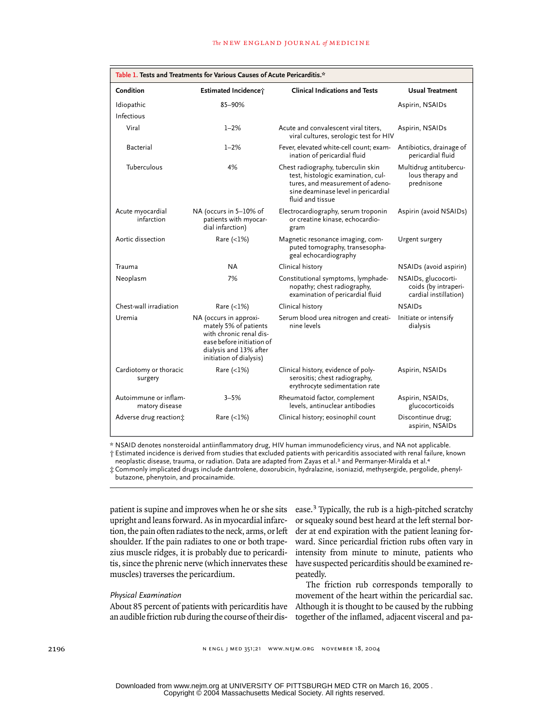| Table 1. Tests and Treatments for Various Causes of Acute Pericarditis.* |                                                                                                                                                              |                                                                                                                                                                         |                                                                      |  |
|--------------------------------------------------------------------------|--------------------------------------------------------------------------------------------------------------------------------------------------------------|-------------------------------------------------------------------------------------------------------------------------------------------------------------------------|----------------------------------------------------------------------|--|
| Condition                                                                | Estimated Incidence;                                                                                                                                         | <b>Clinical Indications and Tests</b>                                                                                                                                   | <b>Usual Treatment</b>                                               |  |
| Idiopathic                                                               | 85-90%                                                                                                                                                       |                                                                                                                                                                         | Aspirin, NSAIDs                                                      |  |
| Infectious                                                               |                                                                                                                                                              |                                                                                                                                                                         |                                                                      |  |
| Viral                                                                    | $1 - 2%$                                                                                                                                                     | Acute and convalescent viral titers,<br>viral cultures, serologic test for HIV                                                                                          | Aspirin, NSAIDs                                                      |  |
| Bacterial                                                                | $1 - 2%$                                                                                                                                                     | Fever, elevated white-cell count; exam-<br>ination of pericardial fluid                                                                                                 | Antibiotics, drainage of<br>pericardial fluid                        |  |
| Tuberculous                                                              | 4%                                                                                                                                                           | Chest radiography, tuberculin skin<br>test, histologic examination, cul-<br>tures, and measurement of adeno-<br>sine deaminase level in pericardial<br>fluid and tissue | Multidrug antitubercu-<br>lous therapy and<br>prednisone             |  |
| Acute myocardial<br>infarction                                           | NA (occurs in 5-10% of<br>patients with myocar-<br>dial infarction)                                                                                          | Electrocardiography, serum troponin<br>or creatine kinase, echocardio-<br>gram                                                                                          | Aspirin (avoid NSAIDs)                                               |  |
| Aortic dissection                                                        | Rare $(<1%)$                                                                                                                                                 | Magnetic resonance imaging, com-<br>puted tomography, transesopha-<br>geal echocardiography                                                                             | Urgent surgery                                                       |  |
| Trauma                                                                   | <b>NA</b>                                                                                                                                                    | Clinical history                                                                                                                                                        | NSAIDs (avoid aspirin)                                               |  |
| Neoplasm                                                                 | 7%                                                                                                                                                           | Constitutional symptoms, lymphade-<br>nopathy; chest radiography,<br>examination of pericardial fluid                                                                   | NSAIDs, glucocorti-<br>coids (by intraperi-<br>cardial instillation) |  |
| Chest-wall irradiation                                                   | Rare $(<1%)$                                                                                                                                                 | Clinical history                                                                                                                                                        | <b>NSAIDs</b>                                                        |  |
| Uremia                                                                   | NA (occurs in approxi-<br>mately 5% of patients<br>with chronic renal dis-<br>ease before initiation of<br>dialysis and 13% after<br>initiation of dialysis) | Serum blood urea nitrogen and creati-<br>nine levels                                                                                                                    | Initiate or intensify<br>dialysis                                    |  |
| Cardiotomy or thoracic<br>surgery                                        | Rare $(<1%)$                                                                                                                                                 | Clinical history, evidence of poly-<br>serositis; chest radiography,<br>erythrocyte sedimentation rate                                                                  | Aspirin, NSAIDs                                                      |  |
| Autoimmune or inflam-<br>matory disease                                  | $3 - 5%$                                                                                                                                                     | Rheumatoid factor, complement<br>levels, antinuclear antibodies                                                                                                         | Aspirin, NSAIDs,<br>glucocorticoids                                  |  |
| Adverse drug reaction:                                                   | Rare $(\langle 1\% \rangle)$                                                                                                                                 | Clinical history; eosinophil count                                                                                                                                      | Discontinue drug;<br>aspirin, NSAIDs                                 |  |

\* NSAID denotes nonsteroidal antiinflammatory drug, HIV human immunodeficiency virus, and NA not applicable.

† Estimated incidence is derived from studies that excluded patients with pericarditis associated with renal failure, known neoplastic disease, trauma, or radiation. Data are adapted from Zayas et al.<sup>3</sup> and Permanyer-Miralda et al.<sup>4</sup>

‡ Commonly implicated drugs include dantrolene, doxorubicin, hydralazine, isoniazid, methysergide, pergolide, phenylbutazone, phenytoin, and procainamide.

patient is supine and improves when he or she sits upright and leans forward. As in myocardial infarction, the pain often radiates to the neck, arms, or left shoulder. If the pain radiates to one or both trapezius muscle ridges, it is probably due to pericarditis, since the phrenic nerve (which innervates these

#### *Physical Examination*

muscles) traverses the pericardium.

About 85 percent of patients with pericarditis have an audible friction rub during the course of their dis-

ease.3 Typically, the rub is a high-pitched scratchy or squeaky sound best heard at the left sternal border at end expiration with the patient leaning forward. Since pericardial friction rubs often vary in intensity from minute to minute, patients who have suspected pericarditis should be examined repeatedly.

The friction rub corresponds temporally to movement of the heart within the pericardial sac. Although it is thought to be caused by the rubbing together of the inflamed, adjacent visceral and pa-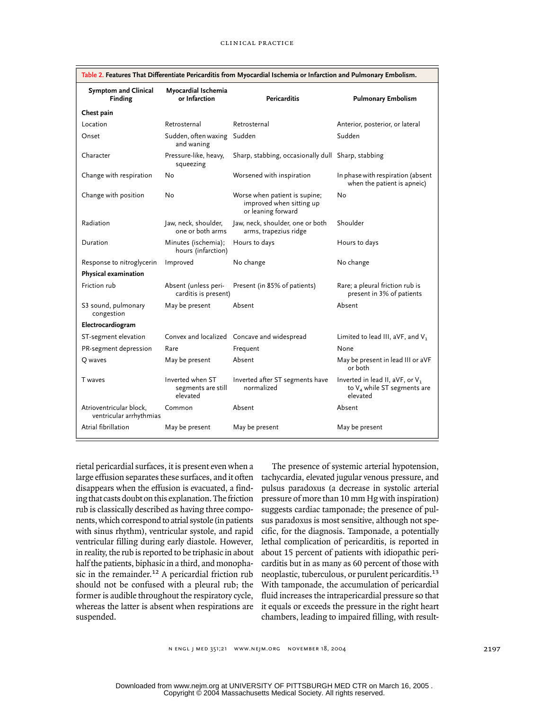| Table 2. Features That Differentiate Pericarditis from Myocardial Ischemia or Infarction and Pulmonary Embolism. |                                                    |                                                                                 |                                                                                           |  |
|------------------------------------------------------------------------------------------------------------------|----------------------------------------------------|---------------------------------------------------------------------------------|-------------------------------------------------------------------------------------------|--|
| <b>Symptom and Clinical</b><br>Finding                                                                           | Myocardial Ischemia<br>or Infarction               | <b>Pericarditis</b>                                                             | <b>Pulmonary Embolism</b>                                                                 |  |
| Chest pain                                                                                                       |                                                    |                                                                                 |                                                                                           |  |
| Location                                                                                                         | Retrosternal                                       | Retrosternal                                                                    | Anterior, posterior, or lateral                                                           |  |
| Onset                                                                                                            | Sudden, often waxing Sudden<br>and waning          |                                                                                 | Sudden                                                                                    |  |
| Character                                                                                                        | Pressure-like, heavy,<br>squeezing                 | Sharp, stabbing, occasionally dull Sharp, stabbing                              |                                                                                           |  |
| Change with respiration                                                                                          | No                                                 | Worsened with inspiration                                                       | In phase with respiration (absent<br>when the patient is apneic)                          |  |
| Change with position                                                                                             | No                                                 | Worse when patient is supine;<br>improved when sitting up<br>or leaning forward | No                                                                                        |  |
| Radiation                                                                                                        | Jaw, neck, shoulder,<br>one or both arms           | Jaw, neck, shoulder, one or both<br>arms, trapezius ridge                       | Shoulder                                                                                  |  |
| Duration                                                                                                         | Minutes (ischemia);<br>hours (infarction)          | Hours to days                                                                   | Hours to days                                                                             |  |
| Response to nitroglycerin                                                                                        | Improved                                           | No change                                                                       | No change                                                                                 |  |
| Physical examination                                                                                             |                                                    |                                                                                 |                                                                                           |  |
| Friction rub                                                                                                     | Absent (unless peri-<br>carditis is present)       | Present (in 85% of patients)                                                    | Rare; a pleural friction rub is<br>present in 3% of patients                              |  |
| S3 sound, pulmonary<br>congestion                                                                                | May be present                                     | Absent                                                                          | Absent                                                                                    |  |
| Electrocardiogram                                                                                                |                                                    |                                                                                 |                                                                                           |  |
| ST-segment elevation                                                                                             |                                                    | Convex and localized Concave and widespread                                     | Limited to lead III, aVF, and $V_1$                                                       |  |
| PR-segment depression                                                                                            | Rare                                               | Frequent                                                                        | None                                                                                      |  |
| Q waves                                                                                                          | May be present                                     | Absent                                                                          | May be present in lead III or aVF<br>or both                                              |  |
| T waves                                                                                                          | Inverted when ST<br>segments are still<br>elevated | Inverted after ST segments have<br>normalized                                   | Inverted in lead II, aVF, or V <sub>1</sub><br>to $V_4$ while ST segments are<br>elevated |  |
| Atrioventricular block,<br>ventricular arrhythmias                                                               | Common                                             | Absent                                                                          | Absent                                                                                    |  |
| Atrial fibrillation                                                                                              | May be present                                     | May be present                                                                  | May be present                                                                            |  |

rietal pericardial surfaces, it is present even when a large effusion separates these surfaces, and it often disappears when the effusion is evacuated, a finding that casts doubt on this explanation. The friction rub is classically described as having three components, which correspond to atrial systole (in patients with sinus rhythm), ventricular systole, and rapid ventricular filling during early diastole. However, in reality, the rub is reported to be triphasic in about half the patients, biphasic in a third, and monophasic in the remainder.<sup>12</sup> A pericardial friction rub should not be confused with a pleural rub; the former is audible throughout the respiratory cycle, whereas the latter is absent when respirations are suspended.

The presence of systemic arterial hypotension, tachycardia, elevated jugular venous pressure, and pulsus paradoxus (a decrease in systolic arterial pressure of more than 10 mm Hg with inspiration) suggests cardiac tamponade; the presence of pulsus paradoxus is most sensitive, although not specific, for the diagnosis. Tamponade, a potentially lethal complication of pericarditis, is reported in about 15 percent of patients with idiopathic pericarditis but in as many as 60 percent of those with neoplastic, tuberculous, or purulent pericarditis.<sup>13</sup> With tamponade, the accumulation of pericardial fluid increases the intrapericardial pressure so that it equals or exceeds the pressure in the right heart chambers, leading to impaired filling, with result-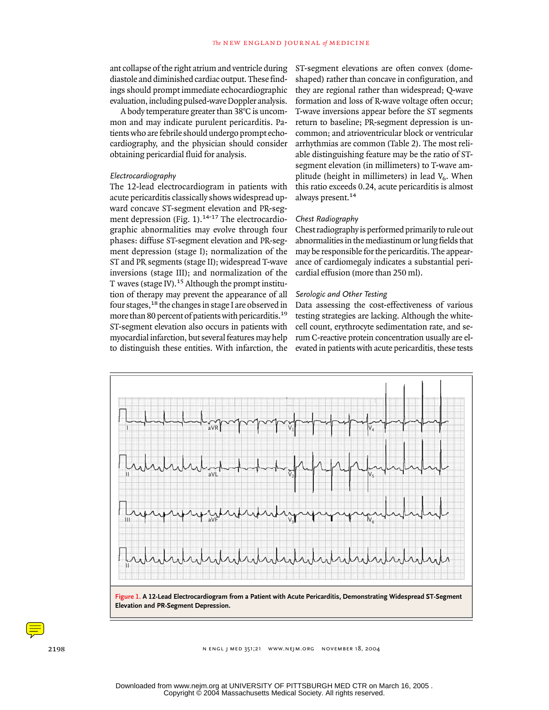ant collapse of the right atrium and ventricle during diastole and diminished cardiac output. These findings should prompt immediate echocardiographic evaluation, including pulsed-wave Doppler analysis.

A body temperature greater than 38°C is uncommon and may indicate purulent pericarditis. Patients who are febrile should undergo prompt echocardiography, and the physician should consider obtaining pericardial fluid for analysis.

# *Electrocardiography*

The 12-lead electrocardiogram in patients with acute pericarditis classically shows widespread upward concave ST-segment elevation and PR-segment depression (Fig. 1).<sup>14-17</sup> The electrocardiographic abnormalities may evolve through four phases: diffuse ST-segment elevation and PR-segment depression (stage I); normalization of the ST and PR segments (stage II); widespread T-wave inversions (stage III); and normalization of the T waves (stage IV).<sup>15</sup> Although the prompt institution of therapy may prevent the appearance of all four stages,18 the changes in stage I are observed in more than 80 percent of patients with pericarditis.<sup>19</sup> ST-segment elevation also occurs in patients with myocardial infarction, but several features may help to distinguish these entities. With infarction, the ST-segment elevations are often convex (domeshaped) rather than concave in configuration, and they are regional rather than widespread; Q-wave formation and loss of R-wave voltage often occur; T-wave inversions appear before the ST segments return to baseline; PR-segment depression is uncommon; and atrioventricular block or ventricular arrhythmias are common (Table 2). The most reliable distinguishing feature may be the ratio of STsegment elevation (in millimeters) to T-wave amplitude (height in millimeters) in lead  $V_6$ . When this ratio exceeds 0.24, acute pericarditis is almost always present.<sup>14</sup>

#### *Chest Radiography*

Chest radiography is performed primarily to rule out abnormalities in the mediastinum or lung fields that may be responsible for the pericarditis. The appearance of cardiomegaly indicates a substantial pericardial effusion (more than 250 ml).

#### *Serologic and Other Testing*

Data assessing the cost-effectiveness of various testing strategies are lacking. Although the whitecell count, erythrocyte sedimentation rate, and serum C-reactive protein concentration usually are elevated in patients with acute pericarditis, these tests



**Elevation and PR-Segment Depression.**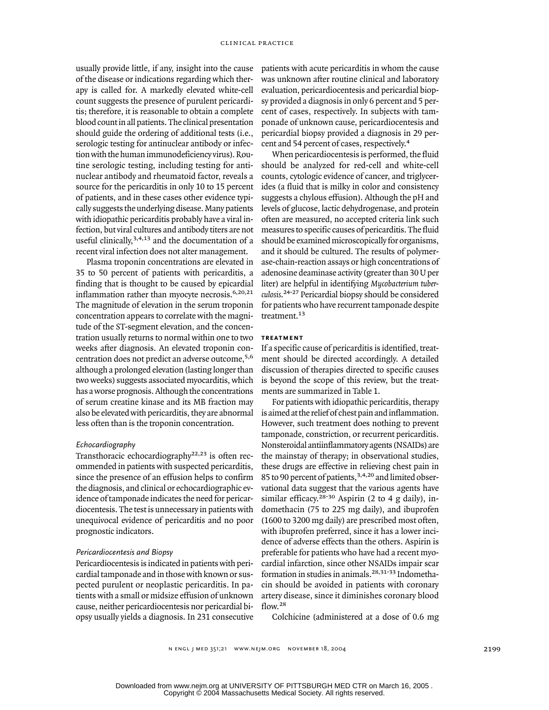usually provide little, if any, insight into the cause of the disease or indications regarding which therapy is called for. A markedly elevated white-cell count suggests the presence of purulent pericarditis; therefore, it is reasonable to obtain a complete blood count in all patients. The clinical presentation should guide the ordering of additional tests (i.e., serologic testing for antinuclear antibody or infection with the human immunodeficiency virus). Routine serologic testing, including testing for antinuclear antibody and rheumatoid factor, reveals a source for the pericarditis in only 10 to 15 percent of patients, and in these cases other evidence typically suggests the underlying disease. Many patients with idiopathic pericarditis probably have a viral infection, but viral cultures and antibody titers are not useful clinically,<sup>3,4,13</sup> and the documentation of a recent viral infection does not alter management.

Plasma troponin concentrations are elevated in 35 to 50 percent of patients with pericarditis, a finding that is thought to be caused by epicardial inflammation rather than myocyte necrosis.<sup>6,20,21</sup> The magnitude of elevation in the serum troponin concentration appears to correlate with the magnitude of the ST-segment elevation, and the concentration usually returns to normal within one to two weeks after diagnosis. An elevated troponin concentration does not predict an adverse outcome,5,6 although a prolonged elevation (lasting longer than two weeks) suggests associated myocarditis, which has a worse prognosis. Although the concentrations of serum creatine kinase and its MB fraction may also be elevated with pericarditis, they are abnormal less often than is the troponin concentration.

## *Echocardiography*

Transthoracic echocardiography<sup>22,23</sup> is often recommended in patients with suspected pericarditis, since the presence of an effusion helps to confirm the diagnosis, and clinical or echocardiographic evidence of tamponade indicates the need for pericardiocentesis. The test is unnecessary in patients with unequivocal evidence of pericarditis and no poor prognostic indicators.

#### *Pericardiocentesis and Biopsy*

Pericardiocentesis is indicated in patients with pericardial tamponade and in those with known or suspected purulent or neoplastic pericarditis. In patients with a small or midsize effusion of unknown cause, neither pericardiocentesis nor pericardial biopsy usually yields a diagnosis. In 231 consecutive patients with acute pericarditis in whom the cause was unknown after routine clinical and laboratory evaluation, pericardiocentesis and pericardial biopsy provided a diagnosis in only 6 percent and 5 percent of cases, respectively. In subjects with tamponade of unknown cause, pericardiocentesis and pericardial biopsy provided a diagnosis in 29 percent and 54 percent of cases, respectively.<sup>4</sup>

When pericardiocentesis is performed, the fluid should be analyzed for red-cell and white-cell counts, cytologic evidence of cancer, and triglycerides (a fluid that is milky in color and consistency suggests a chylous effusion). Although the pH and levels of glucose, lactic dehydrogenase, and protein often are measured, no accepted criteria link such measures to specific causes of pericarditis. The fluid should be examined microscopically for organisms, and it should be cultured. The results of polymerase-chain-reaction assays or high concentrations of adenosine deaminase activity (greater than 30 U per liter) are helpful in identifying *Mycobacterium tuberculosis*. 24-27 Pericardial biopsy should be considered for patients who have recurrent tamponade despite treatment.<sup>13</sup>

## **treatment**

If a specific cause of pericarditis is identified, treatment should be directed accordingly. A detailed discussion of therapies directed to specific causes is beyond the scope of this review, but the treatments are summarized in Table 1.

For patients with idiopathic pericarditis, therapy is aimed at the relief of chest pain and inflammation. However, such treatment does nothing to prevent tamponade, constriction, or recurrent pericarditis. Nonsteroidal antiinflammatory agents (NSAIDs) are the mainstay of therapy; in observational studies, these drugs are effective in relieving chest pain in 85 to 90 percent of patients, 3,4,20 and limited observational data suggest that the various agents have similar efficacy.<sup>28-30</sup> Aspirin (2 to 4 g daily), indomethacin (75 to 225 mg daily), and ibuprofen (1600 to 3200 mg daily) are prescribed most often, with ibuprofen preferred, since it has a lower incidence of adverse effects than the others. Aspirin is preferable for patients who have had a recent myocardial infarction, since other NSAIDs impair scar formation in studies in animals.<sup>28,31-33</sup> Indomethacin should be avoided in patients with coronary artery disease, since it diminishes coronary blood flow.<sup>28</sup>

Colchicine (administered at a dose of 0.6 mg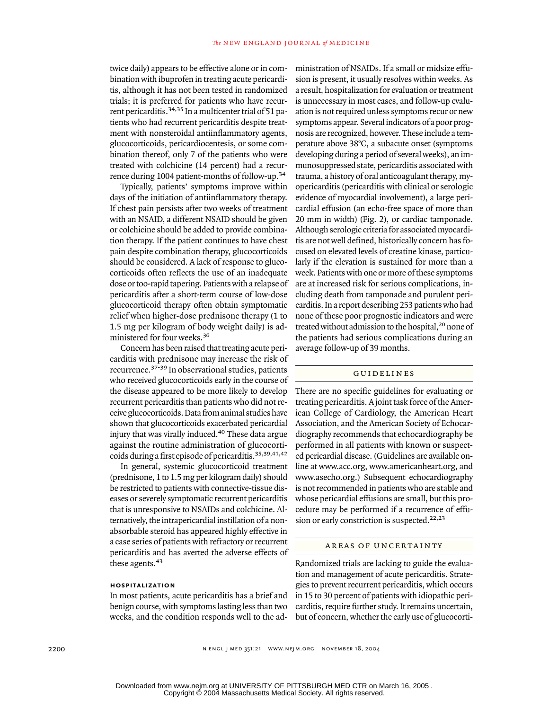twice daily) appears to be effective alone or in combination with ibuprofen in treating acute pericarditis, although it has not been tested in randomized trials; it is preferred for patients who have recurrent pericarditis.34,35 In a multicenter trial of 51 patients who had recurrent pericarditis despite treatment with nonsteroidal antiinflammatory agents, glucocorticoids, pericardiocentesis, or some combination thereof, only 7 of the patients who were treated with colchicine (14 percent) had a recurrence during 1004 patient-months of follow-up.<sup>34</sup>

Typically, patients' symptoms improve within days of the initiation of antiinflammatory therapy. If chest pain persists after two weeks of treatment with an NSAID, a different NSAID should be given or colchicine should be added to provide combination therapy. If the patient continues to have chest pain despite combination therapy, glucocorticoids should be considered. A lack of response to glucocorticoids often reflects the use of an inadequate dose or too-rapid tapering. Patients with a relapse of pericarditis after a short-term course of low-dose glucocorticoid therapy often obtain symptomatic relief when higher-dose prednisone therapy (1 to 1.5 mg per kilogram of body weight daily) is administered for four weeks.<sup>36</sup>

Concern has been raised that treating acute pericarditis with prednisone may increase the risk of recurrence.37-39 In observational studies, patients who received glucocorticoids early in the course of the disease appeared to be more likely to develop recurrent pericarditis than patients who did not receive glucocorticoids. Data from animal studies have shown that glucocorticoids exacerbated pericardial injury that was virally induced.<sup>40</sup> These data argue against the routine administration of glucocorticoids during a first episode of pericarditis.35,39,41,42

In general, systemic glucocorticoid treatment (prednisone, 1 to 1.5 mg per kilogram daily) should be restricted to patients with connective-tissue diseases or severely symptomatic recurrent pericarditis that is unresponsive to NSAIDs and colchicine. Alternatively, the intrapericardial instillation of a nonabsorbable steroid has appeared highly effective in a case series of patients with refractory or recurrent pericarditis and has averted the adverse effects of these agents.<sup>43</sup>

#### **hospitalization**

In most patients, acute pericarditis has a brief and benign course, with symptoms lasting less than two weeks, and the condition responds well to the administration of NSAIDs. If a small or midsize effusion is present, it usually resolves within weeks. As a result, hospitalization for evaluation or treatment is unnecessary in most cases, and follow-up evaluation is not required unless symptoms recur or new symptoms appear. Several indicators of a poor prognosis are recognized, however. These include a temperature above 38°C, a subacute onset (symptoms developing during a period of several weeks), an immunosuppressed state, pericarditis associated with trauma, a history of oral anticoagulant therapy, myopericarditis (pericarditis with clinical or serologic evidence of myocardial involvement), a large pericardial effusion (an echo-free space of more than 20 mm in width) (Fig. 2), or cardiac tamponade. Although serologic criteria for associated myocarditis are not well defined, historically concern has focused on elevated levels of creatine kinase, particularly if the elevation is sustained for more than a week. Patients with one or more of these symptoms are at increased risk for serious complications, including death from tamponade and purulent pericarditis. In a report describing 253 patients who had none of these poor prognostic indicators and were treated without admission to the hospital,<sup>20</sup> none of the patients had serious complications during an average follow-up of 39 months.

# guidelines

There are no specific guidelines for evaluating or treating pericarditis. A joint task force of the American College of Cardiology, the American Heart Association, and the American Society of Echocardiography recommends that echocardiography be performed in all patients with known or suspected pericardial disease. (Guidelines are available online at www.acc.org, www.americanheart.org, and www.asecho.org.) Subsequent echocardiography is not recommended in patients who are stable and whose pericardial effusions are small, but this procedure may be performed if a recurrence of effusion or early constriction is suspected.<sup>22,23</sup>

#### areas of uncertainty

Randomized trials are lacking to guide the evaluation and management of acute pericarditis. Strategies to prevent recurrent pericarditis, which occurs in 15 to 30 percent of patients with idiopathic pericarditis, require further study. It remains uncertain, but of concern, whether the early use of glucocorti-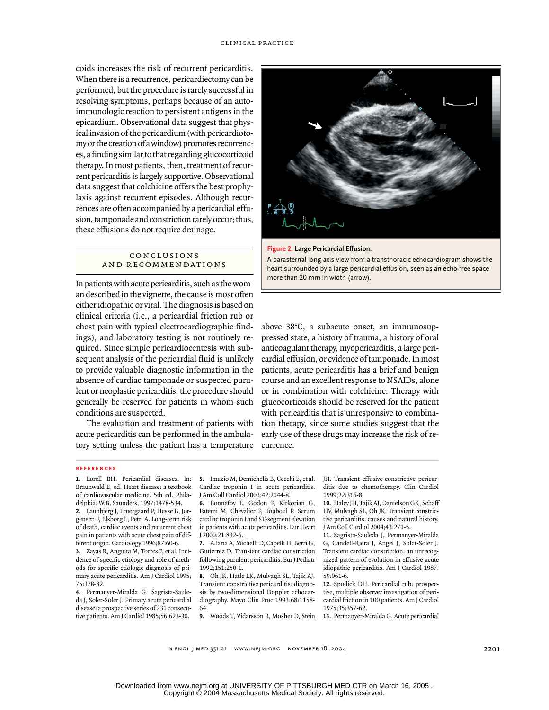coids increases the risk of recurrent pericarditis. When there is a recurrence, pericardiectomy can be performed, but the procedure is rarely successful in resolving symptoms, perhaps because of an autoimmunologic reaction to persistent antigens in the epicardium. Observational data suggest that physical invasion of the pericardium (with pericardiotomy or the creation of a window) promotes recurrences, a finding similar to that regarding glucocorticoid therapy. In most patients, then, treatment of recurrent pericarditis is largely supportive. Observational data suggest that colchicine offers the best prophylaxis against recurrent episodes. Although recurrences are often accompanied by a pericardial effusion, tamponade and constriction rarely occur; thus, these effusions do not require drainage.

# conclusions and recommendations

In patients with acute pericarditis, such as the woman described in the vignette, the cause is most often either idiopathic or viral. The diagnosis is based on clinical criteria (i.e., a pericardial friction rub or chest pain with typical electrocardiographic findings), and laboratory testing is not routinely required. Since simple pericardiocentesis with subsequent analysis of the pericardial fluid is unlikely to provide valuable diagnostic information in the absence of cardiac tamponade or suspected purulent or neoplastic pericarditis, the procedure should generally be reserved for patients in whom such conditions are suspected.

The evaluation and treatment of patients with acute pericarditis can be performed in the ambulatory setting unless the patient has a temperature





A parasternal long-axis view from a transthoracic echocardiogram shows the heart surrounded by a large pericardial effusion, seen as an echo-free space more than 20 mm in width (arrow).

above 38°C, a subacute onset, an immunosuppressed state, a history of trauma, a history of oral anticoagulant therapy, myopericarditis, a large pericardial effusion, or evidence of tamponade. In most patients, acute pericarditis has a brief and benign course and an excellent response to NSAIDs, alone or in combination with colchicine. Therapy with glucocorticoids should be reserved for the patient with pericarditis that is unresponsive to combination therapy, since some studies suggest that the early use of these drugs may increase the risk of recurrence.

## **references**

**1.** Lorell BH. Pericardial diseases. In: Braunwald E, ed. Heart disease: a textbook of cardiovascular medicine. 5th ed. Philadelphia: W.B. Saunders, 1997:1478-534.

**2.** Launbjerg J, Fruergaard P, Hesse B, Jorgensen F, Elsborg L, Petri A. Long-term risk of death, cardiac events and recurrent chest pain in patients with acute chest pain of different origin. Cardiology 1996;87:60-6.

**3.** Zayas R, Anguita M, Torres F, et al. Incidence of specific etiology and role of methods for specific etiologic diagnosis of primary acute pericarditis. Am J Cardiol 1995; 75:378-82.

**4.** Permanyer-Miralda G, Sagrista-Sauleda J, Soler-Soler J. Primary acute pericardial disease: a prospective series of 231 consecutive patients. Am J Cardiol 1985;56:623-30.

**5.** Imazio M, Demichelis B, Cecchi E, et al. Cardiac troponin I in acute pericarditis. J Am Coll Cardiol 2003;42:2144-8.

**6.** Bonnefoy E, Godon P, Kirkorian G, Fatemi M, Chevalier P, Touboul P. Serum cardiac troponin I and ST-segment elevation in patients with acute pericarditis. Eur Heart J 2000;21:832-6.

**7.** Allaria A, Michelli D, Capelli H, Berri G, Gutierrez D. Transient cardiac constriction following purulent pericarditis. Eur J Pediatr 1992;151:250-1.

**8.** Oh JK, Hatle LK, Mulvagh SL, Tajik AJ. Transient constrictive pericarditis: diagnosis by two-dimensional Doppler echocardiography. Mayo Clin Proc 1993;68:1158- 64.

**9.** Woods T, Vidarsson B, Mosher D, Stein **13.** Permanyer-Miralda G. Acute pericardial

JH. Transient effusive-constrictive pericarditis due to chemotherapy. Clin Cardiol 1999;22:316-8.

**10.** Haley JH, Tajik AJ, Danielson GK, Schaff HV, Mulvagh SL, Oh JK. Transient constrictive pericarditis: causes and natural history. J Am Coll Cardiol 2004;43:271-5.

**11.** Sagrista-Sauleda J, Permanyer-Miralda G, Candell-Riera J, Angel J, Soler-Soler J. Transient cardiac constriction: an unrecognized pattern of evolution in effusive acute idiopathic pericarditis. Am J Cardiol 1987; 59:961-6.

**12.** Spodick DH. Pericardial rub: prospective, multiple observer investigation of pericardial friction in 100 patients. Am J Cardiol 1975;35:357-62.